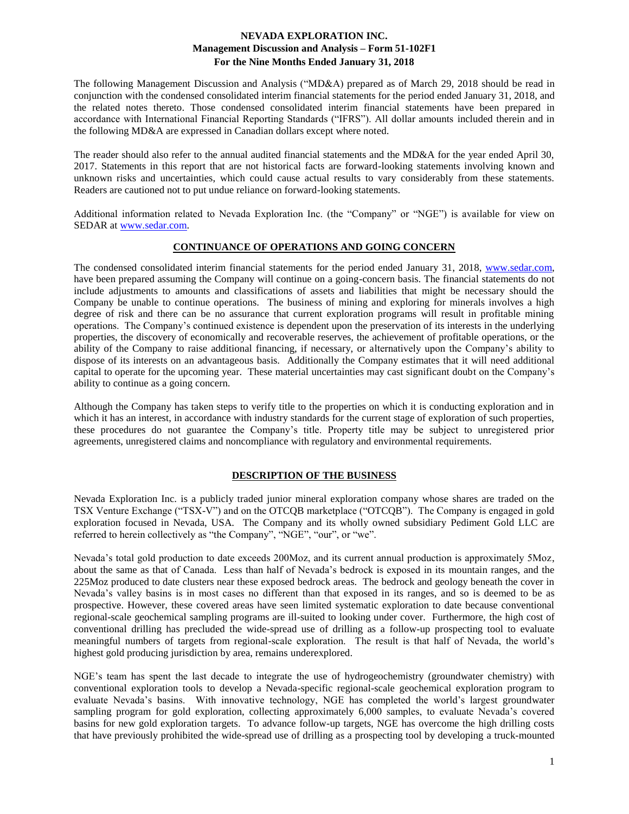The following Management Discussion and Analysis ("MD&A) prepared as of March 29, 2018 should be read in conjunction with the condensed consolidated interim financial statements for the period ended January 31, 2018, and the related notes thereto. Those condensed consolidated interim financial statements have been prepared in accordance with International Financial Reporting Standards ("IFRS"). All dollar amounts included therein and in the following MD&A are expressed in Canadian dollars except where noted.

The reader should also refer to the annual audited financial statements and the MD&A for the year ended April 30, 2017. Statements in this report that are not historical facts are forward-looking statements involving known and unknown risks and uncertainties, which could cause actual results to vary considerably from these statements. Readers are cautioned not to put undue reliance on forward-looking statements.

Additional information related to Nevada Exploration Inc. (the "Company" or "NGE") is available for view on SEDAR at [www.sedar.com.](http://www.sedar.com/)

## **CONTINUANCE OF OPERATIONS AND GOING CONCERN**

The condensed consolidated interim financial statements for the period ended January 31, 2018, [www.sedar.com,](http://www.sedar.com/) have been prepared assuming the Company will continue on a going-concern basis. The financial statements do not include adjustments to amounts and classifications of assets and liabilities that might be necessary should the Company be unable to continue operations. The business of mining and exploring for minerals involves a high degree of risk and there can be no assurance that current exploration programs will result in profitable mining operations. The Company's continued existence is dependent upon the preservation of its interests in the underlying properties, the discovery of economically and recoverable reserves, the achievement of profitable operations, or the ability of the Company to raise additional financing, if necessary, or alternatively upon the Company's ability to dispose of its interests on an advantageous basis. Additionally the Company estimates that it will need additional capital to operate for the upcoming year. These material uncertainties may cast significant doubt on the Company's ability to continue as a going concern.

Although the Company has taken steps to verify title to the properties on which it is conducting exploration and in which it has an interest, in accordance with industry standards for the current stage of exploration of such properties, these procedures do not guarantee the Company's title. Property title may be subject to unregistered prior agreements, unregistered claims and noncompliance with regulatory and environmental requirements.

## **DESCRIPTION OF THE BUSINESS**

Nevada Exploration Inc. is a publicly traded junior mineral exploration company whose shares are traded on the TSX Venture Exchange ("TSX-V") and on the OTCQB marketplace ("OTCQB"). The Company is engaged in gold exploration focused in Nevada, USA. The Company and its wholly owned subsidiary Pediment Gold LLC are referred to herein collectively as "the Company", "NGE", "our", or "we".

Nevada's total gold production to date exceeds 200Moz, and its current annual production is approximately 5Moz, about the same as that of Canada. Less than half of Nevada's bedrock is exposed in its mountain ranges, and the 225Moz produced to date clusters near these exposed bedrock areas. The bedrock and geology beneath the cover in Nevada's valley basins is in most cases no different than that exposed in its ranges, and so is deemed to be as prospective. However, these covered areas have seen limited systematic exploration to date because conventional regional-scale geochemical sampling programs are ill-suited to looking under cover. Furthermore, the high cost of conventional drilling has precluded the wide-spread use of drilling as a follow-up prospecting tool to evaluate meaningful numbers of targets from regional-scale exploration. The result is that half of Nevada, the world's highest gold producing jurisdiction by area, remains underexplored.

NGE's team has spent the last decade to integrate the use of hydrogeochemistry (groundwater chemistry) with conventional exploration tools to develop a Nevada-specific regional-scale geochemical exploration program to evaluate Nevada's basins. With innovative technology, NGE has completed the world's largest groundwater sampling program for gold exploration, collecting approximately 6,000 samples, to evaluate Nevada's covered basins for new gold exploration targets. To advance follow-up targets, NGE has overcome the high drilling costs that have previously prohibited the wide-spread use of drilling as a prospecting tool by developing a truck-mounted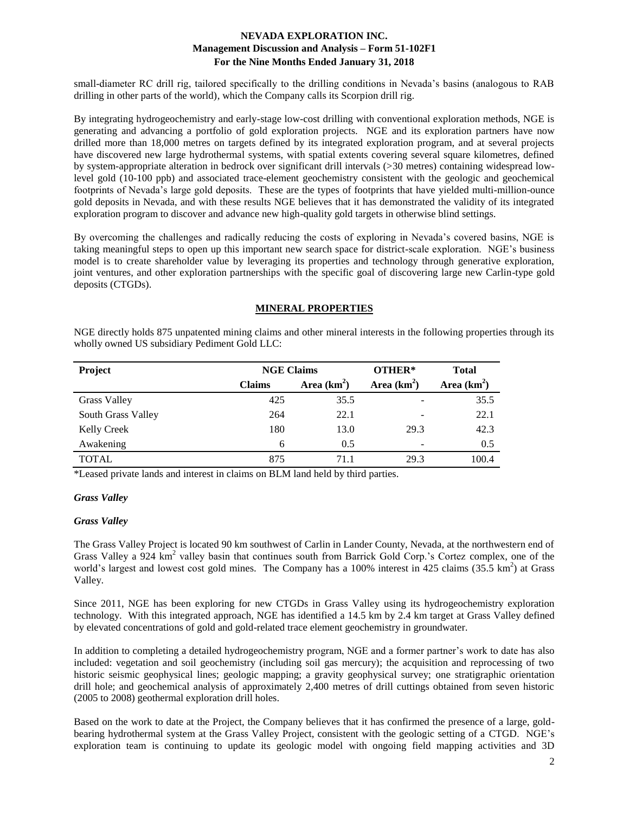small-diameter RC drill rig, tailored specifically to the drilling conditions in Nevada's basins (analogous to RAB drilling in other parts of the world), which the Company calls its Scorpion drill rig.

By integrating hydrogeochemistry and early-stage low-cost drilling with conventional exploration methods, NGE is generating and advancing a portfolio of gold exploration projects. NGE and its exploration partners have now drilled more than 18,000 metres on targets defined by its integrated exploration program, and at several projects have discovered new large hydrothermal systems, with spatial extents covering several square kilometres, defined by system-appropriate alteration in bedrock over significant drill intervals (>30 metres) containing widespread lowlevel gold (10-100 ppb) and associated trace-element geochemistry consistent with the geologic and geochemical footprints of Nevada's large gold deposits. These are the types of footprints that have yielded multi-million-ounce gold deposits in Nevada, and with these results NGE believes that it has demonstrated the validity of its integrated exploration program to discover and advance new high-quality gold targets in otherwise blind settings.

By overcoming the challenges and radically reducing the costs of exploring in Nevada's covered basins, NGE is taking meaningful steps to open up this important new search space for district-scale exploration. NGE's business model is to create shareholder value by leveraging its properties and technology through generative exploration, joint ventures, and other exploration partnerships with the specific goal of discovering large new Carlin-type gold deposits (CTGDs).

### **MINERAL PROPERTIES**

NGE directly holds 875 unpatented mining claims and other mineral interests in the following properties through its wholly owned US subsidiary Pediment Gold LLC:

| Project             | <b>NGE Claims</b> |               | OTHER*        | <b>Total</b>  |
|---------------------|-------------------|---------------|---------------|---------------|
|                     | <b>Claims</b>     | Area $(km^2)$ | Area $(km^2)$ | Area $(km^2)$ |
| <b>Grass Valley</b> | 425               | 35.5          |               | 35.5          |
| South Grass Valley  | 264               | 22.1          |               | 22.1          |
| <b>Kelly Creek</b>  | 180               | 13.0          | 29.3          | 42.3          |
| Awakening           | 6                 | 0.5           | -             | 0.5           |
| <b>TOTAL</b>        | 875               | 71.1          | 29.3          | 100.4         |

\*Leased private lands and interest in claims on BLM land held by third parties.

### *Grass Valley*

#### *Grass Valley*

The Grass Valley Project is located 90 km southwest of Carlin in Lander County, Nevada, at the northwestern end of Grass Valley a 924 km<sup>2</sup> valley basin that continues south from Barrick Gold Corp.'s Cortez complex, one of the world's largest and lowest cost gold mines. The Company has a 100% interest in 425 claims (35.5 km<sup>2</sup>) at Grass Valley.

Since 2011, NGE has been exploring for new CTGDs in Grass Valley using its hydrogeochemistry exploration technology. With this integrated approach, NGE has identified a 14.5 km by 2.4 km target at Grass Valley defined by elevated concentrations of gold and gold-related trace element geochemistry in groundwater.

In addition to completing a detailed hydrogeochemistry program, NGE and a former partner's work to date has also included: vegetation and soil geochemistry (including soil gas mercury); the acquisition and reprocessing of two historic seismic geophysical lines; geologic mapping; a gravity geophysical survey; one stratigraphic orientation drill hole; and geochemical analysis of approximately 2,400 metres of drill cuttings obtained from seven historic (2005 to 2008) geothermal exploration drill holes.

Based on the work to date at the Project, the Company believes that it has confirmed the presence of a large, goldbearing hydrothermal system at the Grass Valley Project, consistent with the geologic setting of a CTGD. NGE's exploration team is continuing to update its geologic model with ongoing field mapping activities and 3D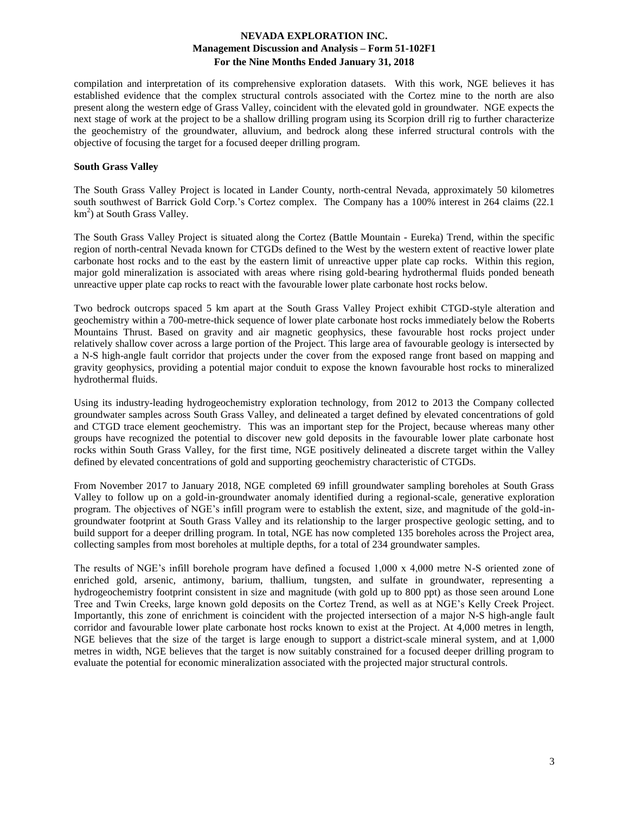compilation and interpretation of its comprehensive exploration datasets. With this work, NGE believes it has established evidence that the complex structural controls associated with the Cortez mine to the north are also present along the western edge of Grass Valley, coincident with the elevated gold in groundwater. NGE expects the next stage of work at the project to be a shallow drilling program using its Scorpion drill rig to further characterize the geochemistry of the groundwater, alluvium, and bedrock along these inferred structural controls with the objective of focusing the target for a focused deeper drilling program.

### **South Grass Valley**

The South Grass Valley Project is located in Lander County, north-central Nevada, approximately 50 kilometres south southwest of Barrick Gold Corp.'s Cortez complex. The Company has a 100% interest in 264 claims (22.1) km<sup>2</sup>) at South Grass Valley.

The South Grass Valley Project is situated along the Cortez (Battle Mountain - Eureka) Trend, within the specific region of north-central Nevada known for CTGDs defined to the West by the western extent of reactive lower plate carbonate host rocks and to the east by the eastern limit of unreactive upper plate cap rocks. Within this region, major gold mineralization is associated with areas where rising gold-bearing hydrothermal fluids ponded beneath unreactive upper plate cap rocks to react with the favourable lower plate carbonate host rocks below.

Two bedrock outcrops spaced 5 km apart at the South Grass Valley Project exhibit CTGD-style alteration and geochemistry within a 700-metre-thick sequence of lower plate carbonate host rocks immediately below the Roberts Mountains Thrust. Based on gravity and air magnetic geophysics, these favourable host rocks project under relatively shallow cover across a large portion of the Project. This large area of favourable geology is intersected by a N-S high-angle fault corridor that projects under the cover from the exposed range front based on mapping and gravity geophysics, providing a potential major conduit to expose the known favourable host rocks to mineralized hydrothermal fluids.

Using its industry-leading hydrogeochemistry exploration technology, from 2012 to 2013 the Company collected groundwater samples across South Grass Valley, and delineated a target defined by elevated concentrations of gold and CTGD trace element geochemistry. This was an important step for the Project, because whereas many other groups have recognized the potential to discover new gold deposits in the favourable lower plate carbonate host rocks within South Grass Valley, for the first time, NGE positively delineated a discrete target within the Valley defined by elevated concentrations of gold and supporting geochemistry characteristic of CTGDs.

From November 2017 to January 2018, NGE completed 69 infill groundwater sampling boreholes at South Grass Valley to follow up on a gold-in-groundwater anomaly identified during a regional-scale, generative exploration program. The objectives of NGE's infill program were to establish the extent, size, and magnitude of the gold-ingroundwater footprint at South Grass Valley and its relationship to the larger prospective geologic setting, and to build support for a deeper drilling program. In total, NGE has now completed 135 boreholes across the Project area, collecting samples from most boreholes at multiple depths, for a total of 234 groundwater samples.

The results of NGE's infill borehole program have defined a focused 1,000 x 4,000 metre N-S oriented zone of enriched gold, arsenic, antimony, barium, thallium, tungsten, and sulfate in groundwater, representing a hydrogeochemistry footprint consistent in size and magnitude (with gold up to 800 ppt) as those seen around Lone Tree and Twin Creeks, large known gold deposits on the Cortez Trend, as well as at NGE's Kelly Creek Project. Importantly, this zone of enrichment is coincident with the projected intersection of a major N-S high-angle fault corridor and favourable lower plate carbonate host rocks known to exist at the Project. At 4,000 metres in length, NGE believes that the size of the target is large enough to support a district-scale mineral system, and at 1,000 metres in width, NGE believes that the target is now suitably constrained for a focused deeper drilling program to evaluate the potential for economic mineralization associated with the projected major structural controls.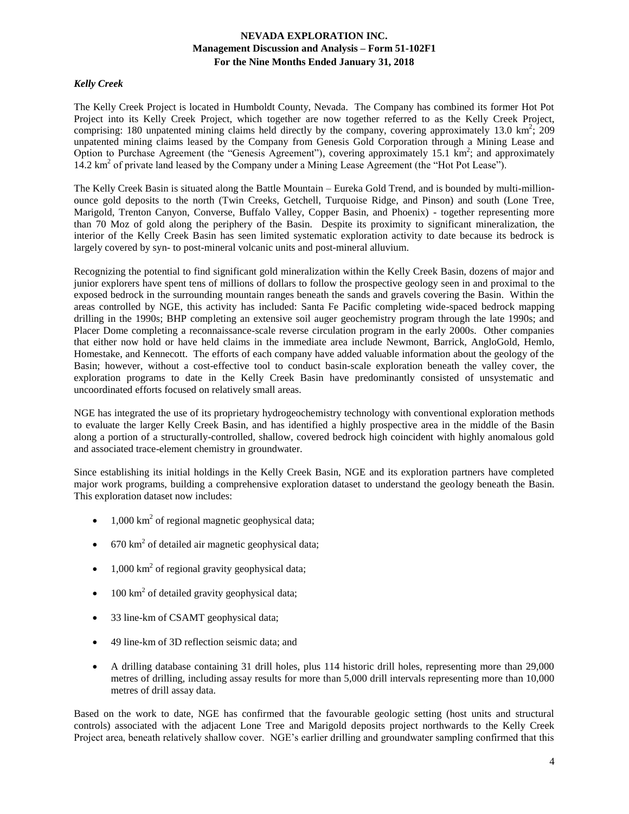## *Kelly Creek*

The Kelly Creek Project is located in Humboldt County, Nevada. The Company has combined its former Hot Pot Project into its Kelly Creek Project, which together are now together referred to as the Kelly Creek Project, comprising: 180 unpatented mining claims held directly by the company, covering approximately 13.0 km<sup>2</sup>; 209 unpatented mining claims leased by the Company from Genesis Gold Corporation through a Mining Lease and Option to Purchase Agreement (the "Genesis Agreement"), covering approximately 15.1  $\text{km}^2$ ; and approximately 14.2 km<sup>2</sup> of private land leased by the Company under a Mining Lease Agreement (the "Hot Pot Lease").

The Kelly Creek Basin is situated along the Battle Mountain – Eureka Gold Trend, and is bounded by multi-millionounce gold deposits to the north (Twin Creeks, Getchell, Turquoise Ridge, and Pinson) and south (Lone Tree, Marigold, Trenton Canyon, Converse, Buffalo Valley, Copper Basin, and Phoenix) - together representing more than 70 Moz of gold along the periphery of the Basin. Despite its proximity to significant mineralization, the interior of the Kelly Creek Basin has seen limited systematic exploration activity to date because its bedrock is largely covered by syn- to post-mineral volcanic units and post-mineral alluvium.

Recognizing the potential to find significant gold mineralization within the Kelly Creek Basin, dozens of major and junior explorers have spent tens of millions of dollars to follow the prospective geology seen in and proximal to the exposed bedrock in the surrounding mountain ranges beneath the sands and gravels covering the Basin. Within the areas controlled by NGE, this activity has included: Santa Fe Pacific completing wide-spaced bedrock mapping drilling in the 1990s; BHP completing an extensive soil auger geochemistry program through the late 1990s; and Placer Dome completing a reconnaissance-scale reverse circulation program in the early 2000s. Other companies that either now hold or have held claims in the immediate area include Newmont, Barrick, AngloGold, Hemlo, Homestake, and Kennecott. The efforts of each company have added valuable information about the geology of the Basin; however, without a cost-effective tool to conduct basin-scale exploration beneath the valley cover, the exploration programs to date in the Kelly Creek Basin have predominantly consisted of unsystematic and uncoordinated efforts focused on relatively small areas.

NGE has integrated the use of its proprietary hydrogeochemistry technology with conventional exploration methods to evaluate the larger Kelly Creek Basin, and has identified a highly prospective area in the middle of the Basin along a portion of a structurally-controlled, shallow, covered bedrock high coincident with highly anomalous gold and associated trace-element chemistry in groundwater.

Since establishing its initial holdings in the Kelly Creek Basin, NGE and its exploration partners have completed major work programs, building a comprehensive exploration dataset to understand the geology beneath the Basin. This exploration dataset now includes:

- $\bullet$  1,000 km<sup>2</sup> of regional magnetic geophysical data;
- 670 km<sup>2</sup> of detailed air magnetic geophysical data;
- 1,000 km<sup>2</sup> of regional gravity geophysical data;
- $\bullet$  100 km<sup>2</sup> of detailed gravity geophysical data;
- 33 line-km of CSAMT geophysical data;
- 49 line-km of 3D reflection seismic data; and
- A drilling database containing 31 drill holes, plus 114 historic drill holes, representing more than 29,000 metres of drilling, including assay results for more than 5,000 drill intervals representing more than 10,000 metres of drill assay data.

Based on the work to date, NGE has confirmed that the favourable geologic setting (host units and structural controls) associated with the adjacent Lone Tree and Marigold deposits project northwards to the Kelly Creek Project area, beneath relatively shallow cover. NGE's earlier drilling and groundwater sampling confirmed that this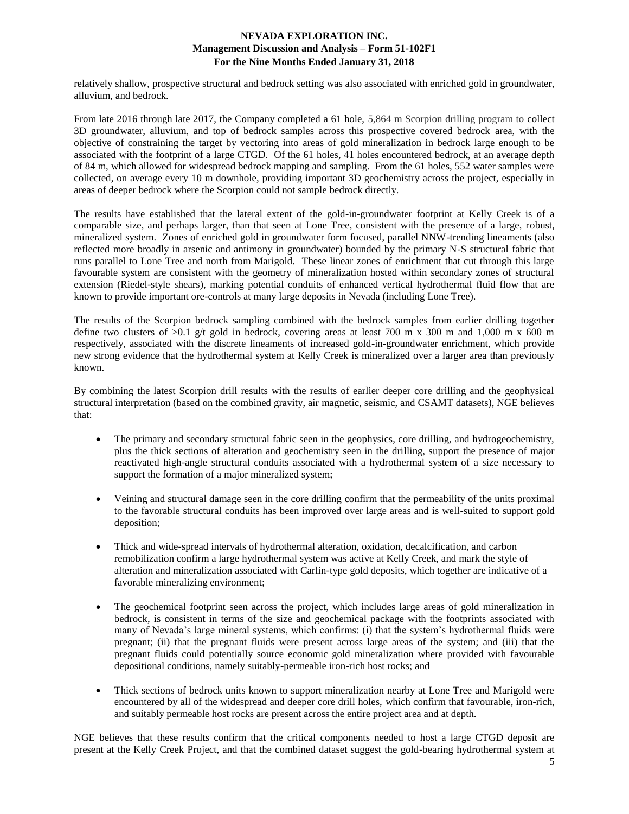relatively shallow, prospective structural and bedrock setting was also associated with enriched gold in groundwater, alluvium, and bedrock.

From late 2016 through late 2017, the Company completed a 61 hole, 5,864 m Scorpion drilling program to collect 3D groundwater, alluvium, and top of bedrock samples across this prospective covered bedrock area, with the objective of constraining the target by vectoring into areas of gold mineralization in bedrock large enough to be associated with the footprint of a large CTGD. Of the 61 holes, 41 holes encountered bedrock, at an average depth of 84 m, which allowed for widespread bedrock mapping and sampling. From the 61 holes, 552 water samples were collected, on average every 10 m downhole, providing important 3D geochemistry across the project, especially in areas of deeper bedrock where the Scorpion could not sample bedrock directly.

The results have established that the lateral extent of the gold-in-groundwater footprint at Kelly Creek is of a comparable size, and perhaps larger, than that seen at Lone Tree, consistent with the presence of a large, robust, mineralized system. Zones of enriched gold in groundwater form focused, parallel NNW-trending lineaments (also reflected more broadly in arsenic and antimony in groundwater) bounded by the primary N-S structural fabric that runs parallel to Lone Tree and north from Marigold. These linear zones of enrichment that cut through this large favourable system are consistent with the geometry of mineralization hosted within secondary zones of structural extension (Riedel-style shears), marking potential conduits of enhanced vertical hydrothermal fluid flow that are known to provide important ore-controls at many large deposits in Nevada (including Lone Tree).

The results of the Scorpion bedrock sampling combined with the bedrock samples from earlier drilling together define two clusters of  $>0.1$  g/t gold in bedrock, covering areas at least 700 m x 300 m and 1,000 m x 600 m respectively, associated with the discrete lineaments of increased gold-in-groundwater enrichment, which provide new strong evidence that the hydrothermal system at Kelly Creek is mineralized over a larger area than previously known.

By combining the latest Scorpion drill results with the results of earlier deeper core drilling and the geophysical structural interpretation (based on the combined gravity, air magnetic, seismic, and CSAMT datasets), NGE believes that:

- The primary and secondary structural fabric seen in the geophysics, core drilling, and hydrogeochemistry, plus the thick sections of alteration and geochemistry seen in the drilling, support the presence of major reactivated high-angle structural conduits associated with a hydrothermal system of a size necessary to support the formation of a major mineralized system;
- Veining and structural damage seen in the core drilling confirm that the permeability of the units proximal to the favorable structural conduits has been improved over large areas and is well-suited to support gold deposition;
- Thick and wide-spread intervals of hydrothermal alteration, oxidation, decalcification, and carbon remobilization confirm a large hydrothermal system was active at Kelly Creek, and mark the style of alteration and mineralization associated with Carlin-type gold deposits, which together are indicative of a favorable mineralizing environment;
- The geochemical footprint seen across the project, which includes large areas of gold mineralization in bedrock, is consistent in terms of the size and geochemical package with the footprints associated with many of Nevada's large mineral systems, which confirms: (i) that the system's hydrothermal fluids were pregnant; (ii) that the pregnant fluids were present across large areas of the system; and (iii) that the pregnant fluids could potentially source economic gold mineralization where provided with favourable depositional conditions, namely suitably-permeable iron-rich host rocks; and
- Thick sections of bedrock units known to support mineralization nearby at Lone Tree and Marigold were encountered by all of the widespread and deeper core drill holes, which confirm that favourable, iron-rich, and suitably permeable host rocks are present across the entire project area and at depth.

NGE believes that these results confirm that the critical components needed to host a large CTGD deposit are present at the Kelly Creek Project, and that the combined dataset suggest the gold-bearing hydrothermal system at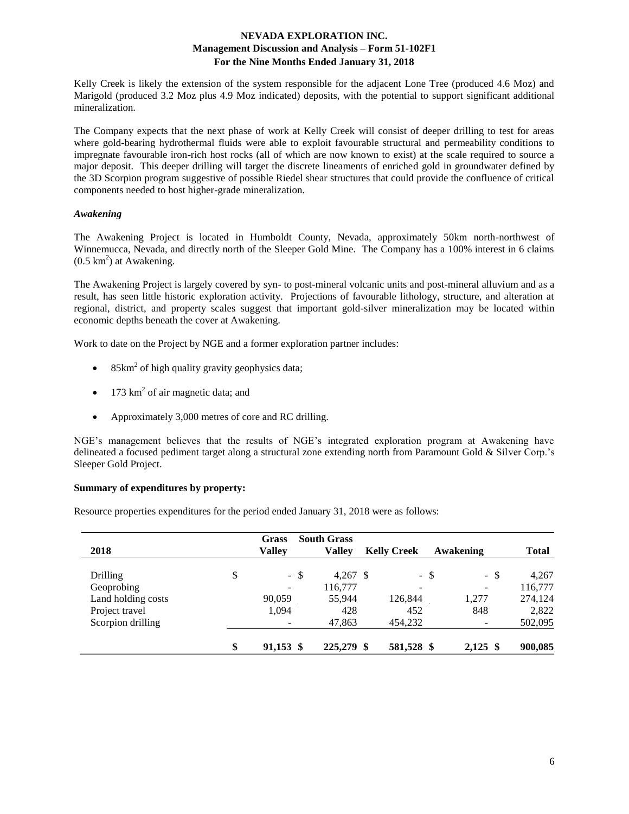Kelly Creek is likely the extension of the system responsible for the adjacent Lone Tree (produced 4.6 Moz) and Marigold (produced 3.2 Moz plus 4.9 Moz indicated) deposits, with the potential to support significant additional mineralization.

The Company expects that the next phase of work at Kelly Creek will consist of deeper drilling to test for areas where gold-bearing hydrothermal fluids were able to exploit favourable structural and permeability conditions to impregnate favourable iron-rich host rocks (all of which are now known to exist) at the scale required to source a major deposit. This deeper drilling will target the discrete lineaments of enriched gold in groundwater defined by the 3D Scorpion program suggestive of possible Riedel shear structures that could provide the confluence of critical components needed to host higher-grade mineralization.

## *Awakening*

The Awakening Project is located in Humboldt County, Nevada, approximately 50km north-northwest of Winnemucca, Nevada, and directly north of the Sleeper Gold Mine. The Company has a 100% interest in 6 claims  $(0.5 \text{ km}^2)$  at Awakening.

The Awakening Project is largely covered by syn- to post-mineral volcanic units and post-mineral alluvium and as a result, has seen little historic exploration activity. Projections of favourable lithology, structure, and alteration at regional, district, and property scales suggest that important gold-silver mineralization may be located within economic depths beneath the cover at Awakening.

Work to date on the Project by NGE and a former exploration partner includes:

- 85km<sup>2</sup> of high quality gravity geophysics data;
- 173 km<sup>2</sup> of air magnetic data; and
- Approximately 3,000 metres of core and RC drilling.

NGE's management believes that the results of NGE's integrated exploration program at Awakening have delineated a focused pediment target along a structural zone extending north from Paramount Gold & Silver Corp.'s Sleeper Gold Project.

## **Summary of expenditures by property:**

Resource properties expenditures for the period ended January 31, 2018 were as follows:

| 2018               | Grass<br><b>Valley</b> | <b>South Grass</b><br><b>Valley</b> | <b>Kelly Creek</b> | Awakening        | <b>Total</b> |
|--------------------|------------------------|-------------------------------------|--------------------|------------------|--------------|
| Drilling           | \$<br>- \$             | $4,267$ \$                          |                    | $-$ \$<br>$-$ \$ | 4,267        |
| Geoprobing         |                        | 116,777                             | -                  | ۰                | 116,777      |
| Land holding costs | 90,059                 | 55,944                              | 126,844            | 1,277            | 274,124      |
| Project travel     | 1,094                  | 428                                 | 452                | 848              | 2,822        |
| Scorpion drilling  |                        | 47,863                              | 454,232            |                  | 502,095      |
|                    | \$<br>91,153 \$        | 225,279 \$                          | 581,528 \$         | $2,125$ \$       | 900,085      |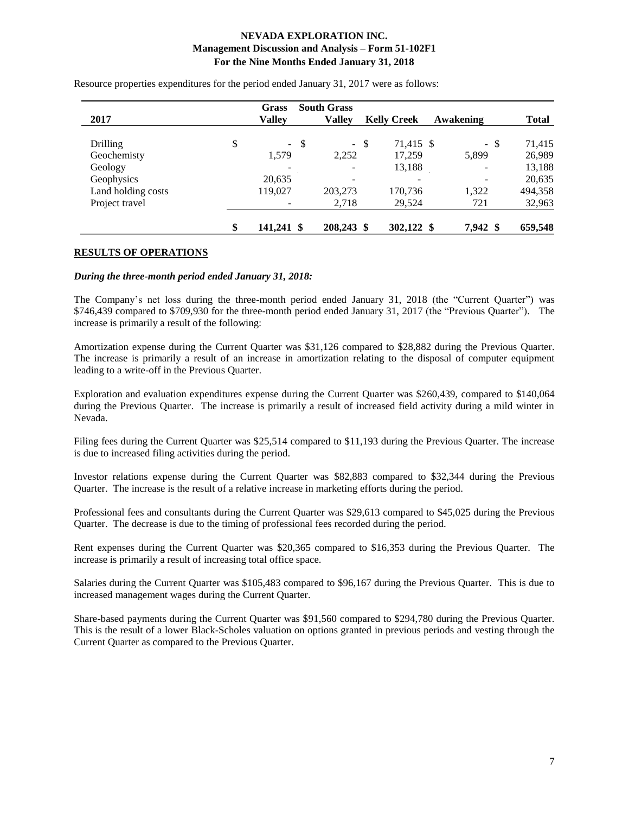| 2017               | <b>Grass</b><br>Valley |               | <b>South Grass</b><br><b>Valley</b> |    | <b>Kelly Creek</b> | Awakening |      | <b>Total</b> |
|--------------------|------------------------|---------------|-------------------------------------|----|--------------------|-----------|------|--------------|
| Drilling           | \$<br>$\sim$           | $\mathcal{S}$ | $\mathbb{Z}^{\mathbb{Z}}$           | -S | 71,415 \$          |           | - \$ | 71,415       |
| Geochemisty        | 1,579                  |               | 2,252                               |    | 17,259             | 5,899     |      | 26,989       |
| Geology            |                        |               |                                     |    | 13,188             |           |      | 13,188       |
| Geophysics         | 20,635                 |               | -                                   |    | -                  |           |      | 20,635       |
| Land holding costs | 119,027                |               | 203,273                             |    | 170,736            | 1,322     |      | 494,358      |
| Project travel     |                        |               | 2,718                               |    | 29,524             | 721       |      | 32,963       |
|                    | \$<br>141,241 \$       |               | 208,243 \$                          |    | 302,122 \$         | 7,942 \$  |      | 659,548      |

Resource properties expenditures for the period ended January 31, 2017 were as follows:

### **RESULTS OF OPERATIONS**

#### *During the three-month period ended January 31, 2018:*

The Company's net loss during the three-month period ended January 31, 2018 (the "Current Quarter") was \$746,439 compared to \$709,930 for the three-month period ended January 31, 2017 (the "Previous Quarter"). The increase is primarily a result of the following:

Amortization expense during the Current Quarter was \$31,126 compared to \$28,882 during the Previous Quarter. The increase is primarily a result of an increase in amortization relating to the disposal of computer equipment leading to a write-off in the Previous Quarter.

Exploration and evaluation expenditures expense during the Current Quarter was \$260,439, compared to \$140,064 during the Previous Quarter. The increase is primarily a result of increased field activity during a mild winter in Nevada.

Filing fees during the Current Quarter was \$25,514 compared to \$11,193 during the Previous Quarter. The increase is due to increased filing activities during the period.

Investor relations expense during the Current Quarter was \$82,883 compared to \$32,344 during the Previous Quarter. The increase is the result of a relative increase in marketing efforts during the period.

Professional fees and consultants during the Current Quarter was \$29,613 compared to \$45,025 during the Previous Quarter. The decrease is due to the timing of professional fees recorded during the period.

Rent expenses during the Current Quarter was \$20,365 compared to \$16,353 during the Previous Quarter. The increase is primarily a result of increasing total office space.

Salaries during the Current Quarter was \$105,483 compared to \$96,167 during the Previous Quarter. This is due to increased management wages during the Current Quarter.

Share-based payments during the Current Quarter was \$91,560 compared to \$294,780 during the Previous Quarter. This is the result of a lower Black-Scholes valuation on options granted in previous periods and vesting through the Current Quarter as compared to the Previous Quarter.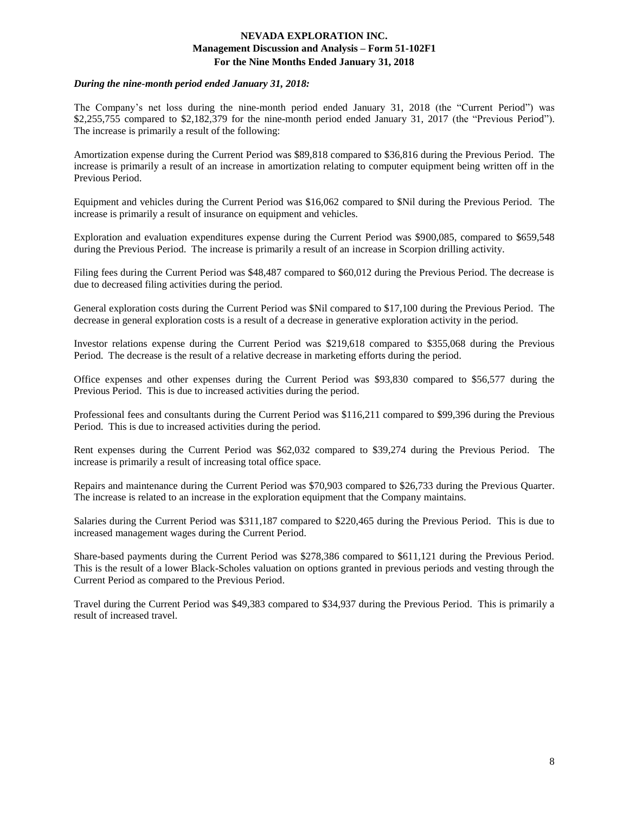### *During the nine-month period ended January 31, 2018:*

The Company's net loss during the nine-month period ended January 31, 2018 (the "Current Period") was \$2,255,755 compared to \$2,182,379 for the nine-month period ended January 31, 2017 (the "Previous Period"). The increase is primarily a result of the following:

Amortization expense during the Current Period was \$89,818 compared to \$36,816 during the Previous Period. The increase is primarily a result of an increase in amortization relating to computer equipment being written off in the Previous Period.

Equipment and vehicles during the Current Period was \$16,062 compared to \$Nil during the Previous Period. The increase is primarily a result of insurance on equipment and vehicles.

Exploration and evaluation expenditures expense during the Current Period was \$900,085, compared to \$659,548 during the Previous Period. The increase is primarily a result of an increase in Scorpion drilling activity.

Filing fees during the Current Period was \$48,487 compared to \$60,012 during the Previous Period. The decrease is due to decreased filing activities during the period.

General exploration costs during the Current Period was \$Nil compared to \$17,100 during the Previous Period. The decrease in general exploration costs is a result of a decrease in generative exploration activity in the period.

Investor relations expense during the Current Period was \$219,618 compared to \$355,068 during the Previous Period. The decrease is the result of a relative decrease in marketing efforts during the period.

Office expenses and other expenses during the Current Period was \$93,830 compared to \$56,577 during the Previous Period. This is due to increased activities during the period.

Professional fees and consultants during the Current Period was \$116,211 compared to \$99,396 during the Previous Period. This is due to increased activities during the period.

Rent expenses during the Current Period was \$62,032 compared to \$39,274 during the Previous Period. The increase is primarily a result of increasing total office space.

Repairs and maintenance during the Current Period was \$70,903 compared to \$26,733 during the Previous Quarter. The increase is related to an increase in the exploration equipment that the Company maintains.

Salaries during the Current Period was \$311,187 compared to \$220,465 during the Previous Period. This is due to increased management wages during the Current Period.

Share-based payments during the Current Period was \$278,386 compared to \$611,121 during the Previous Period. This is the result of a lower Black-Scholes valuation on options granted in previous periods and vesting through the Current Period as compared to the Previous Period.

Travel during the Current Period was \$49,383 compared to \$34,937 during the Previous Period. This is primarily a result of increased travel.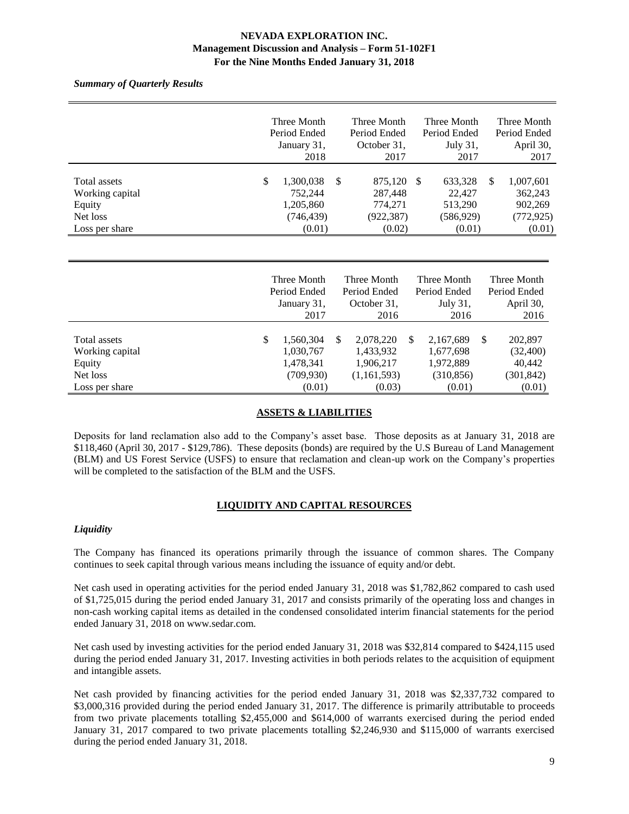*Summary of Quarterly Results*

|                 |             | Three Month  |   | Three Month  |          | Three Month  |           | Three Month  |
|-----------------|-------------|--------------|---|--------------|----------|--------------|-----------|--------------|
|                 |             | Period Ended |   | Period Ended |          | Period Ended |           | Period Ended |
|                 | January 31, |              |   | October 31,  | July 31, |              | April 30, |              |
|                 |             | 2018         |   | 2017         |          | 2017         |           | 2017         |
|                 |             |              |   |              |          |              |           |              |
| Total assets    | \$          | 1,300,038    | S | 875,120      | -S       | 633,328      | S         | 1,007,601    |
| Working capital |             | 752,244      |   | 287,448      |          | 22,427       |           | 362,243      |
| Equity          |             | 1,205,860    |   | 774,271      |          | 513,290      |           | 902,269      |
| Net loss        |             | (746, 439)   |   | (922, 387)   |          | (586,929)    |           | (772, 925)   |
| Loss per share  |             | (0.01)       |   | (0.02)       |          | (0.01)       |           | (0.01)       |
|                 |             |              |   |              |          |              |           |              |

|                                                       | Three Month<br>Period Ended<br>January 31, |                                                   | Three Month<br>Period Ended<br>October 31,               |   | Three Month<br>Period Ended<br>July 31,           |               | Three Month<br>Period Ended<br>April 30,    |  |
|-------------------------------------------------------|--------------------------------------------|---------------------------------------------------|----------------------------------------------------------|---|---------------------------------------------------|---------------|---------------------------------------------|--|
|                                                       |                                            | 2017                                              | 2016                                                     |   | 2016                                              |               | 2016                                        |  |
| Total assets<br>Working capital<br>Equity<br>Net loss | \$                                         | 1,560,304<br>1,030,767<br>1,478,341<br>(709, 930) | \$<br>2,078,220<br>1,433,932<br>1,906,217<br>(1,161,593) | S | 2,167,689<br>1,677,698<br>1,972,889<br>(310, 856) | <sup>\$</sup> | 202,897<br>(32,400)<br>40,442<br>(301, 842) |  |
| Loss per share                                        |                                            | (0.01)                                            | (0.03)                                                   |   | (0.01)                                            |               | (0.01)                                      |  |

## **ASSETS & LIABILITIES**

Deposits for land reclamation also add to the Company's asset base. Those deposits as at January 31, 2018 are \$118,460 (April 30, 2017 - \$129,786). These deposits (bonds) are required by the U.S Bureau of Land Management (BLM) and US Forest Service (USFS) to ensure that reclamation and clean-up work on the Company's properties will be completed to the satisfaction of the BLM and the USFS.

# **LIQUIDITY AND CAPITAL RESOURCES**

## *Liquidity*

The Company has financed its operations primarily through the issuance of common shares. The Company continues to seek capital through various means including the issuance of equity and/or debt.

Net cash used in operating activities for the period ended January 31, 2018 was \$1,782,862 compared to cash used of \$1,725,015 during the period ended January 31, 2017 and consists primarily of the operating loss and changes in non-cash working capital items as detailed in the condensed consolidated interim financial statements for the period ended January 31, 2018 on www.sedar.com.

Net cash used by investing activities for the period ended January 31, 2018 was \$32,814 compared to \$424,115 used during the period ended January 31, 2017. Investing activities in both periods relates to the acquisition of equipment and intangible assets.

Net cash provided by financing activities for the period ended January 31, 2018 was \$2,337,732 compared to \$3,000,316 provided during the period ended January 31, 2017. The difference is primarily attributable to proceeds from two private placements totalling \$2,455,000 and \$614,000 of warrants exercised during the period ended January 31, 2017 compared to two private placements totalling \$2,246,930 and \$115,000 of warrants exercised during the period ended January 31, 2018.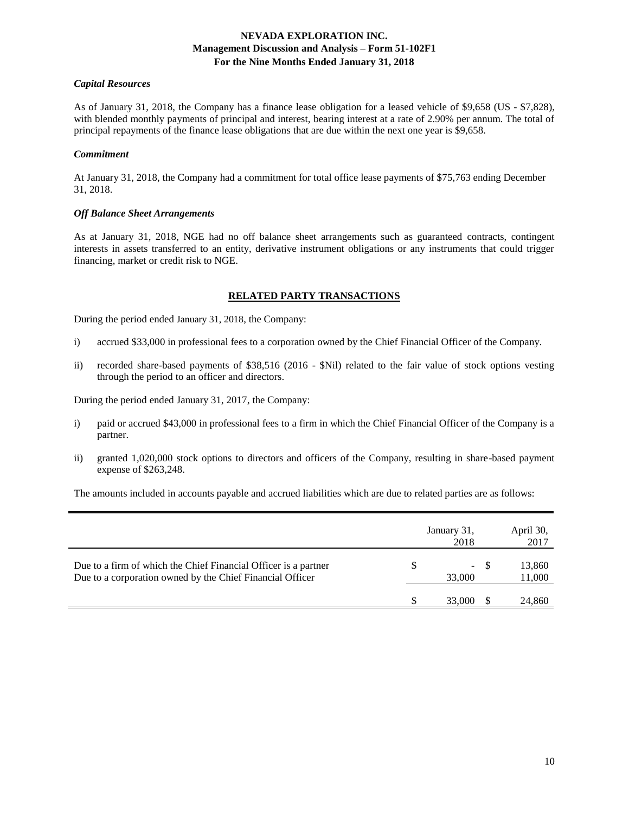### *Capital Resources*

As of January 31, 2018, the Company has a finance lease obligation for a leased vehicle of \$9,658 (US - \$7,828), with blended monthly payments of principal and interest, bearing interest at a rate of 2.90% per annum. The total of principal repayments of the finance lease obligations that are due within the next one year is \$9,658.

#### *Commitment*

At January 31, 2018, the Company had a commitment for total office lease payments of \$75,763 ending December 31, 2018.

### *Off Balance Sheet Arrangements*

As at January 31, 2018, NGE had no off balance sheet arrangements such as guaranteed contracts, contingent interests in assets transferred to an entity, derivative instrument obligations or any instruments that could trigger financing, market or credit risk to NGE.

### **RELATED PARTY TRANSACTIONS**

During the period ended January 31, 2018, the Company:

- i) accrued \$33,000 in professional fees to a corporation owned by the Chief Financial Officer of the Company.
- ii) recorded share-based payments of \$38,516 (2016 \$Nil) related to the fair value of stock options vesting through the period to an officer and directors.

During the period ended January 31, 2017, the Company:

- i) paid or accrued \$43,000 in professional fees to a firm in which the Chief Financial Officer of the Company is a partner.
- ii) granted 1,020,000 stock options to directors and officers of the Company, resulting in share-based payment expense of \$263,248.

The amounts included in accounts payable and accrued liabilities which are due to related parties are as follows:

|                                                                                                                              | January 31,<br>2018 |      | April 30,<br>2017 |
|------------------------------------------------------------------------------------------------------------------------------|---------------------|------|-------------------|
| Due to a firm of which the Chief Financial Officer is a partner<br>Due to a corporation owned by the Chief Financial Officer | $\sim$<br>33,000    | - \$ | 13,860<br>11,000  |
|                                                                                                                              | 33,000              |      | 24,860            |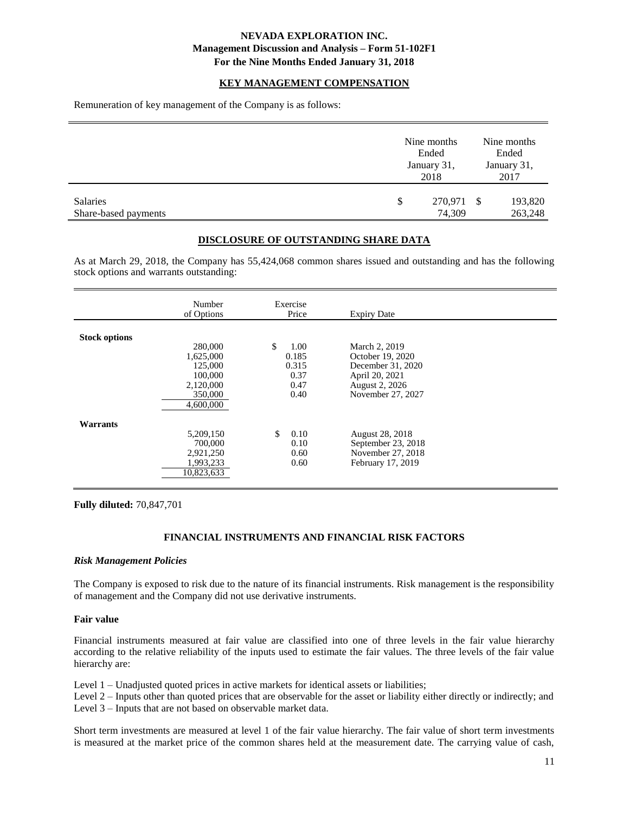#### **KEY MANAGEMENT COMPENSATION**

Remuneration of key management of the Company is as follows:

|                                  | Nine months<br>Ended<br>January 31,<br>2018 |      | Nine months<br>Ended<br>January 31,<br>2017 |
|----------------------------------|---------------------------------------------|------|---------------------------------------------|
| Salaries<br>Share-based payments | \$<br>270,971<br>74,309                     | - \$ | 193,820<br>263,248                          |

### **DISCLOSURE OF OUTSTANDING SHARE DATA**

As at March 29, 2018, the Company has 55,424,068 common shares issued and outstanding and has the following stock options and warrants outstanding:

|                      | Number<br>of Options                                                            | Exercise<br>Price                                    | <b>Expiry Date</b>                                                                                              |  |
|----------------------|---------------------------------------------------------------------------------|------------------------------------------------------|-----------------------------------------------------------------------------------------------------------------|--|
| <b>Stock options</b> | 280,000<br>1,625,000<br>125,000<br>100,000<br>2,120,000<br>350,000<br>4,600,000 | \$<br>1.00<br>0.185<br>0.315<br>0.37<br>0.47<br>0.40 | March 2, 2019<br>October 19, 2020<br>December 31, 2020<br>April 20, 2021<br>August 2, 2026<br>November 27, 2027 |  |
| Warrants             | 5,209,150<br>700,000<br>2,921,250<br>1,993,233<br>10.823.633                    | \$<br>0.10<br>0.10<br>0.60<br>0.60                   | August 28, 2018<br>September 23, 2018<br>November 27, 2018<br>February 17, 2019                                 |  |

**Fully diluted:** 70,847,701

## **FINANCIAL INSTRUMENTS AND FINANCIAL RISK FACTORS**

#### *Risk Management Policies*

The Company is exposed to risk due to the nature of its financial instruments. Risk management is the responsibility of management and the Company did not use derivative instruments.

#### **Fair value**

Financial instruments measured at fair value are classified into one of three levels in the fair value hierarchy according to the relative reliability of the inputs used to estimate the fair values. The three levels of the fair value hierarchy are:

Level 1 – Unadjusted quoted prices in active markets for identical assets or liabilities;

Level 2 – Inputs other than quoted prices that are observable for the asset or liability either directly or indirectly; and Level 3 – Inputs that are not based on observable market data.

Short term investments are measured at level 1 of the fair value hierarchy. The fair value of short term investments is measured at the market price of the common shares held at the measurement date. The carrying value of cash,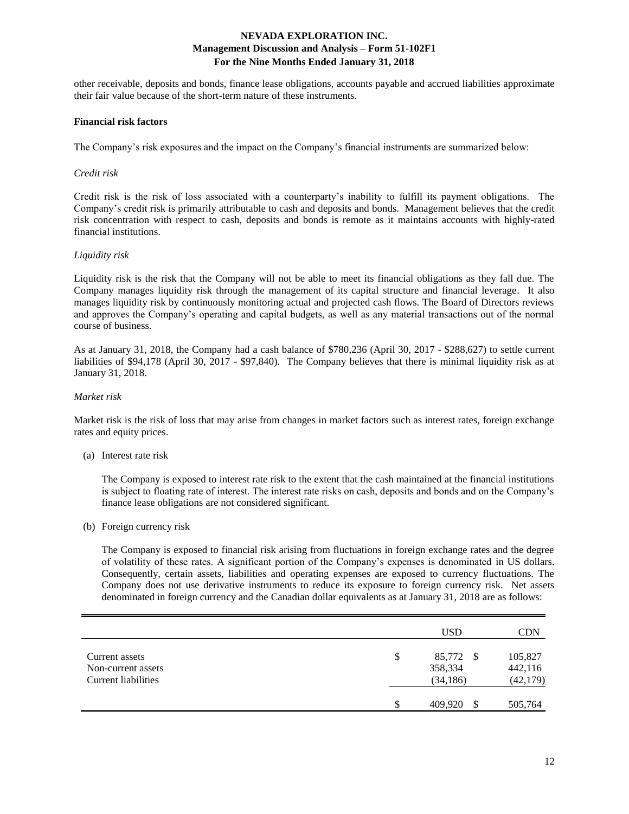other receivable, deposits and bonds, finance lease obligations, accounts payable and accrued liabilities approximate their fair value because of the short-term nature of these instruments.

#### **Financial risk factors**

The Company's risk exposures and the impact on the Company's financial instruments are summarized below:

#### *Credit risk*

Credit risk is the risk of loss associated with a counterparty's inability to fulfill its payment obligations. The Company's credit risk is primarily attributable to cash and deposits and bonds. Management believes that the credit risk concentration with respect to cash, deposits and bonds is remote as it maintains accounts with highly-rated financial institutions.

### *Liquidity risk*

Liquidity risk is the risk that the Company will not be able to meet its financial obligations as they fall due. The Company manages liquidity risk through the management of its capital structure and financial leverage. It also manages liquidity risk by continuously monitoring actual and projected cash flows. The Board of Directors reviews and approves the Company's operating and capital budgets, as well as any material transactions out of the normal course of business.

As at January 31, 2018, the Company had a cash balance of \$780,236 (April 30, 2017 - \$288,627) to settle current liabilities of \$94,178 (April 30, 2017 - \$97,840). The Company believes that there is minimal liquidity risk as at January 31, 2018.

### *Market risk*

Market risk is the risk of loss that may arise from changes in market factors such as interest rates, foreign exchange rates and equity prices.

#### (a) Interest rate risk

The Company is exposed to interest rate risk to the extent that the cash maintained at the financial institutions is subject to floating rate of interest. The interest rate risks on cash, deposits and bonds and on the Company's finance lease obligations are not considered significant.

(b) Foreign currency risk

The Company is exposed to financial risk arising from fluctuations in foreign exchange rates and the degree of volatility of these rates. A significant portion of the Company's expenses is denominated in US dollars. Consequently, certain assets, liabilities and operating expenses are exposed to currency fluctuations. The Company does not use derivative instruments to reduce its exposure to foreign currency risk. Net assets denominated in foreign currency and the Canadian dollar equivalents as at January 31, 2018 are as follows:

|                                                             | <b>USD</b>                              | CDN                             |
|-------------------------------------------------------------|-----------------------------------------|---------------------------------|
| Current assets<br>Non-current assets<br>Current liabilities | \$<br>85,772 \$<br>358,334<br>(34, 186) | 105,827<br>442,116<br>(42, 179) |
|                                                             | \$<br>409,920<br>S                      | 505,764                         |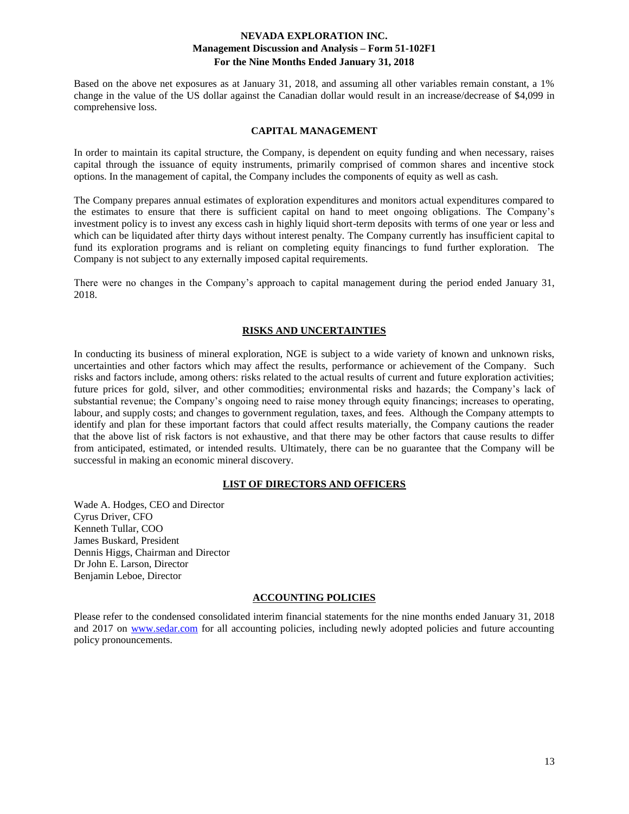Based on the above net exposures as at January 31, 2018, and assuming all other variables remain constant, a 1% change in the value of the US dollar against the Canadian dollar would result in an increase/decrease of \$4,099 in comprehensive loss.

## **CAPITAL MANAGEMENT**

In order to maintain its capital structure, the Company, is dependent on equity funding and when necessary, raises capital through the issuance of equity instruments, primarily comprised of common shares and incentive stock options. In the management of capital, the Company includes the components of equity as well as cash.

The Company prepares annual estimates of exploration expenditures and monitors actual expenditures compared to the estimates to ensure that there is sufficient capital on hand to meet ongoing obligations. The Company's investment policy is to invest any excess cash in highly liquid short-term deposits with terms of one year or less and which can be liquidated after thirty days without interest penalty. The Company currently has insufficient capital to fund its exploration programs and is reliant on completing equity financings to fund further exploration. The Company is not subject to any externally imposed capital requirements.

There were no changes in the Company's approach to capital management during the period ended January 31, 2018.

### **RISKS AND UNCERTAINTIES**

In conducting its business of mineral exploration, NGE is subject to a wide variety of known and unknown risks, uncertainties and other factors which may affect the results, performance or achievement of the Company. Such risks and factors include, among others: risks related to the actual results of current and future exploration activities; future prices for gold, silver, and other commodities; environmental risks and hazards; the Company's lack of substantial revenue; the Company's ongoing need to raise money through equity financings; increases to operating, labour, and supply costs; and changes to government regulation, taxes, and fees. Although the Company attempts to identify and plan for these important factors that could affect results materially, the Company cautions the reader that the above list of risk factors is not exhaustive, and that there may be other factors that cause results to differ from anticipated, estimated, or intended results. Ultimately, there can be no guarantee that the Company will be successful in making an economic mineral discovery.

#### **LIST OF DIRECTORS AND OFFICERS**

Wade A. Hodges, CEO and Director Cyrus Driver, CFO Kenneth Tullar, COO James Buskard, President Dennis Higgs, Chairman and Director Dr John E. Larson, Director Benjamin Leboe, Director

## **ACCOUNTING POLICIES**

Please refer to the condensed consolidated interim financial statements for the nine months ended January 31, 2018 and 2017 on [www.sedar.com](http://www.sedar.com/) for all accounting policies, including newly adopted policies and future accounting policy pronouncements.